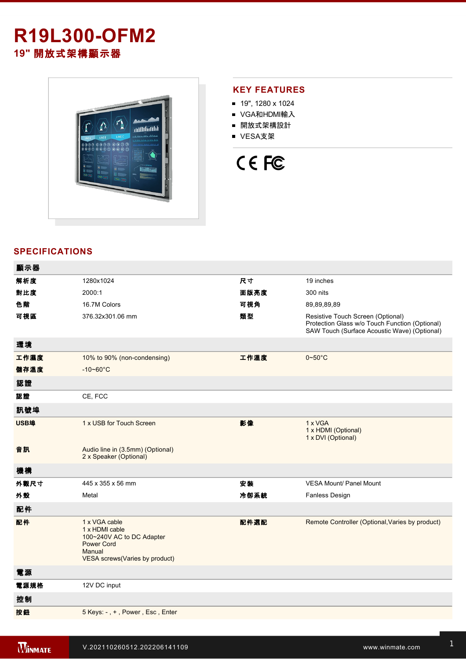## **R19L300-OFM2 19"** 開放式架構顯示器



## **KEY FEATURES**

- 19", 1280 x 1024
- VGA和HDMI輸入
- 開放式架構設計
- VESA支架



## **SPECIFICATIONS**

| 顯示器  |                                                                                                                               |      |                                                                                                                                     |
|------|-------------------------------------------------------------------------------------------------------------------------------|------|-------------------------------------------------------------------------------------------------------------------------------------|
| 解析度  | 1280x1024                                                                                                                     | 尺寸   | 19 inches                                                                                                                           |
| 對比度  | 2000:1                                                                                                                        | 面版亮度 | 300 nits                                                                                                                            |
| 色階   | 16.7M Colors                                                                                                                  | 可視角  | 89,89,89,89                                                                                                                         |
| 可視區  | 376.32x301.06 mm                                                                                                              | 類型   | Resistive Touch Screen (Optional)<br>Protection Glass w/o Touch Function (Optional)<br>SAW Touch (Surface Acoustic Wave) (Optional) |
| 環境   |                                                                                                                               |      |                                                                                                                                     |
| 工作濕度 | 10% to 90% (non-condensing)                                                                                                   | 工作溫度 | $0 - 50$ °C                                                                                                                         |
| 儲存溫度 | $-10 - 60^{\circ}C$                                                                                                           |      |                                                                                                                                     |
| 認證   |                                                                                                                               |      |                                                                                                                                     |
| 認證   | CE, FCC                                                                                                                       |      |                                                                                                                                     |
| 訊號埠  |                                                                                                                               |      |                                                                                                                                     |
| USB埠 | 1 x USB for Touch Screen                                                                                                      | 影像   | 1 x VGA<br>1 x HDMI (Optional)<br>1 x DVI (Optional)                                                                                |
| 音訊   | Audio line in (3.5mm) (Optional)<br>2 x Speaker (Optional)                                                                    |      |                                                                                                                                     |
| 機構   |                                                                                                                               |      |                                                                                                                                     |
| 外觀尺寸 | 445 x 355 x 56 mm                                                                                                             | 安裝   | <b>VESA Mount/ Panel Mount</b>                                                                                                      |
| 外殼   | Metal                                                                                                                         | 冷卻系統 | <b>Fanless Design</b>                                                                                                               |
| 配件   |                                                                                                                               |      |                                                                                                                                     |
| 配件   | 1 x VGA cable<br>1 x HDMI cable<br>100~240V AC to DC Adapter<br><b>Power Cord</b><br>Manual<br>VESA screws(Varies by product) | 配件選配 | Remote Controller (Optional, Varies by product)                                                                                     |
| 電源   |                                                                                                                               |      |                                                                                                                                     |
| 電源規格 | 12V DC input                                                                                                                  |      |                                                                                                                                     |
| 控制   |                                                                                                                               |      |                                                                                                                                     |
| 按鈕   | 5 Keys: -, +, Power, Esc, Enter                                                                                               |      |                                                                                                                                     |